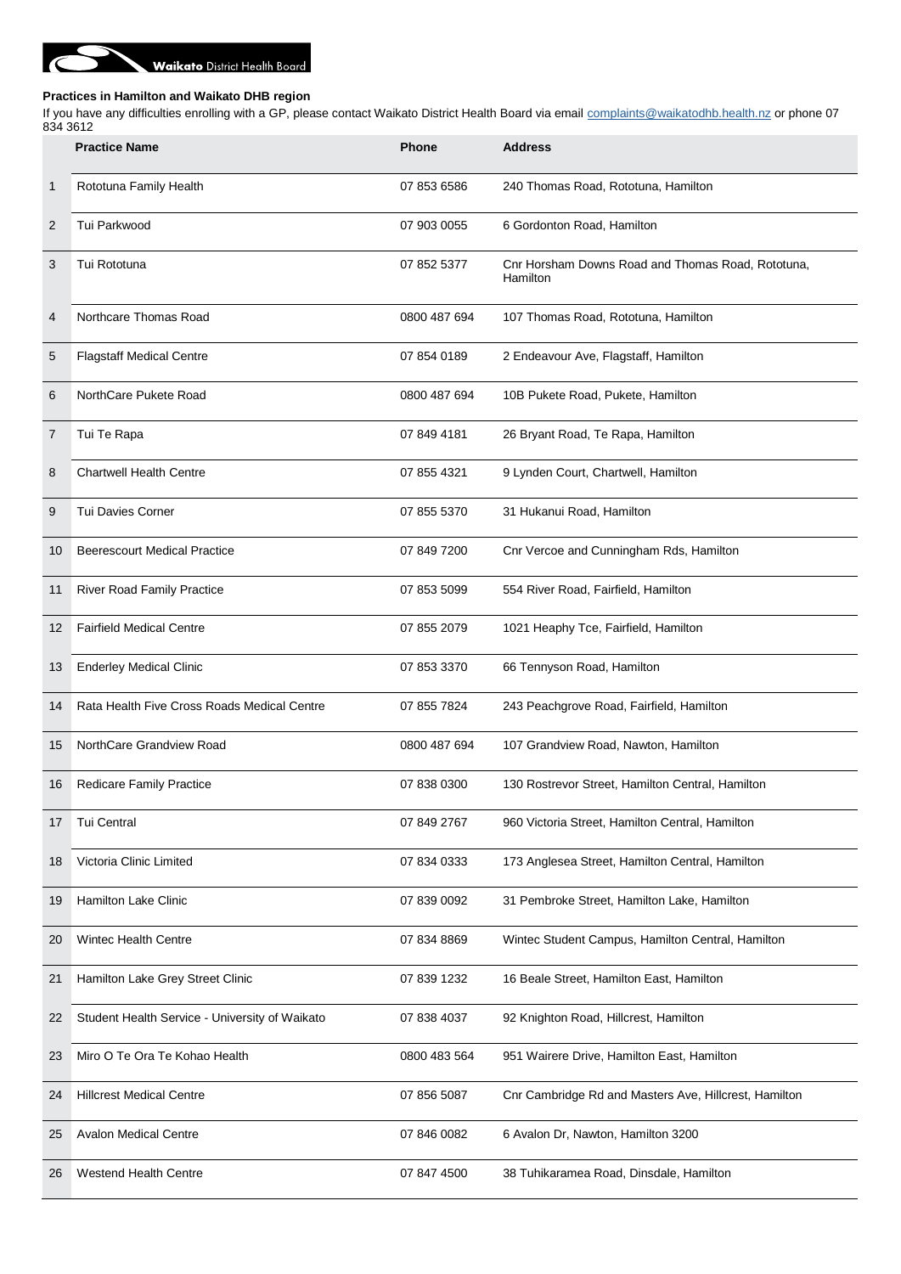

**Waikato** District Health Board

## **Practices in Hamilton and Waikato DHB region**

Z

If you have any difficulties enrolling with a GP, please contact Waikato District Health Board via email **complaints@waikatodhb.health.nz** or phone 07

| 834 3612       |                                                |              |                                                               |
|----------------|------------------------------------------------|--------------|---------------------------------------------------------------|
|                | <b>Practice Name</b>                           | <b>Phone</b> | <b>Address</b>                                                |
| $\mathbf{1}$   | Rototuna Family Health                         | 07 853 6586  | 240 Thomas Road, Rototuna, Hamilton                           |
| $\overline{2}$ | Tui Parkwood                                   | 07 903 0055  | 6 Gordonton Road, Hamilton                                    |
| 3              | Tui Rototuna                                   | 07 852 5377  | Cnr Horsham Downs Road and Thomas Road, Rototuna,<br>Hamilton |
| 4              | Northcare Thomas Road                          | 0800 487 694 | 107 Thomas Road, Rototuna, Hamilton                           |
| 5              | <b>Flagstaff Medical Centre</b>                | 07 854 0189  | 2 Endeavour Ave, Flagstaff, Hamilton                          |
| 6              | NorthCare Pukete Road                          | 0800 487 694 | 10B Pukete Road, Pukete, Hamilton                             |
| 7              | Tui Te Rapa                                    | 07 849 4181  | 26 Bryant Road, Te Rapa, Hamilton                             |
| 8              | <b>Chartwell Health Centre</b>                 | 07 855 4321  | 9 Lynden Court, Chartwell, Hamilton                           |
| 9              | <b>Tui Davies Corner</b>                       | 07 855 5370  | 31 Hukanui Road, Hamilton                                     |
| 10             | <b>Beerescourt Medical Practice</b>            | 07 849 7200  | Cnr Vercoe and Cunningham Rds, Hamilton                       |
| 11             | River Road Family Practice                     | 07 853 5099  | 554 River Road, Fairfield, Hamilton                           |
| 12             | <b>Fairfield Medical Centre</b>                | 07 855 2079  | 1021 Heaphy Tce, Fairfield, Hamilton                          |
| 13             | <b>Enderley Medical Clinic</b>                 | 07 853 3370  | 66 Tennyson Road, Hamilton                                    |
| 14             | Rata Health Five Cross Roads Medical Centre    | 07 855 7824  | 243 Peachgrove Road, Fairfield, Hamilton                      |
| 15             | NorthCare Grandview Road                       | 0800 487 694 | 107 Grandview Road, Nawton, Hamilton                          |
| 16             | Redicare Family Practice                       | 07 838 0300  | 130 Rostrevor Street, Hamilton Central, Hamilton              |
| 17             | Tui Central                                    | 07 849 2767  | 960 Victoria Street, Hamilton Central, Hamilton               |
| 18             | Victoria Clinic Limited                        | 07 834 0333  | 173 Anglesea Street, Hamilton Central, Hamilton               |
| 19             | Hamilton Lake Clinic                           | 07 839 0092  | 31 Pembroke Street, Hamilton Lake, Hamilton                   |
| 20             | Wintec Health Centre                           | 07 834 8869  | Wintec Student Campus, Hamilton Central, Hamilton             |
| 21             | Hamilton Lake Grey Street Clinic               | 07 839 1232  | 16 Beale Street, Hamilton East, Hamilton                      |
| 22             | Student Health Service - University of Waikato | 07 838 4037  | 92 Knighton Road, Hillcrest, Hamilton                         |
| 23             | Miro O Te Ora Te Kohao Health                  | 0800 483 564 | 951 Wairere Drive, Hamilton East, Hamilton                    |
| 24             | <b>Hillcrest Medical Centre</b>                | 07 856 5087  | Cnr Cambridge Rd and Masters Ave, Hillcrest, Hamilton         |
| 25             | <b>Avalon Medical Centre</b>                   | 07 846 0082  | 6 Avalon Dr, Nawton, Hamilton 3200                            |
| 26             | <b>Westend Health Centre</b>                   | 07 847 4500  | 38 Tuhikaramea Road, Dinsdale, Hamilton                       |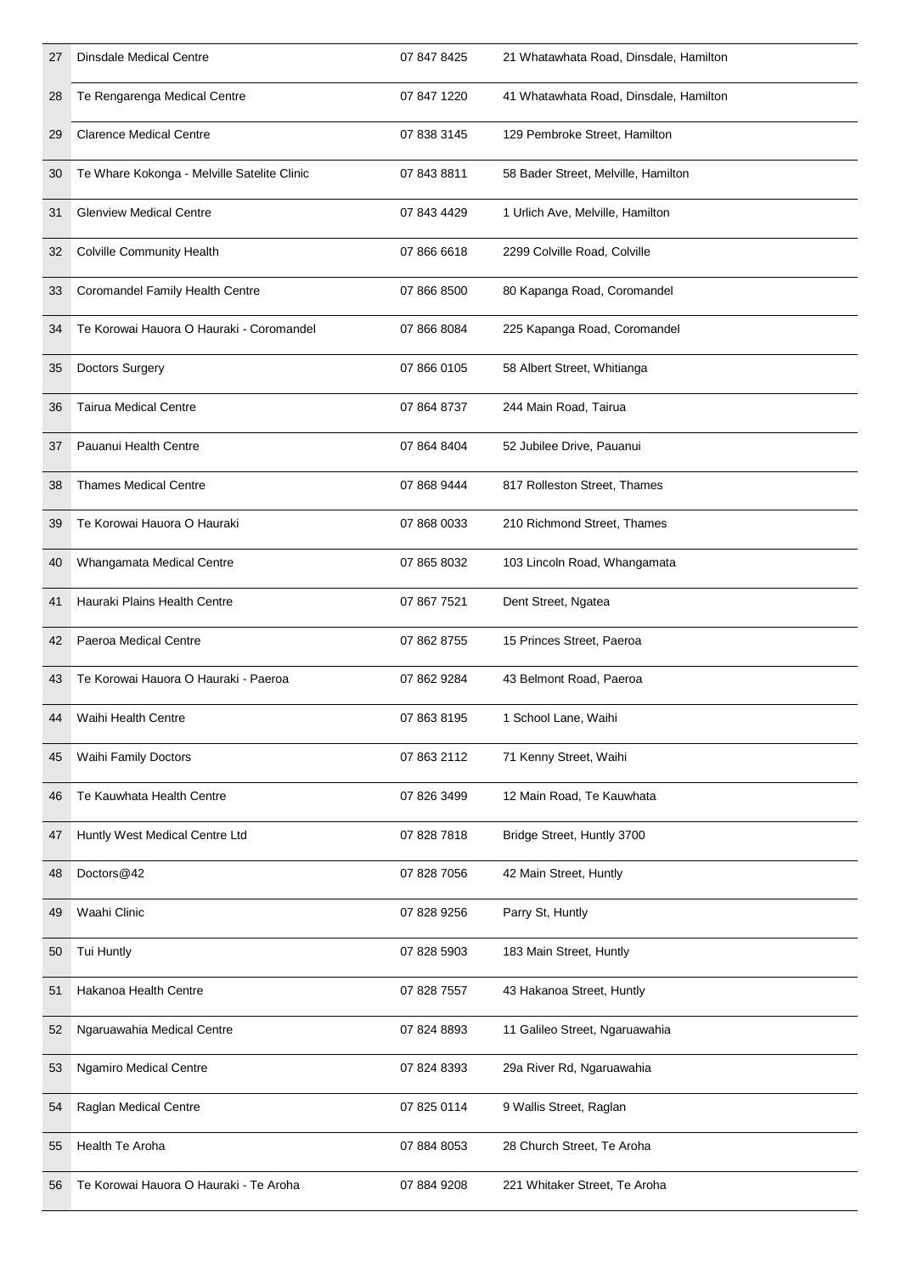| 27 | <b>Dinsdale Medical Centre</b>              | 07 847 8425 | 21 Whatawhata Road, Dinsdale, Hamilton |
|----|---------------------------------------------|-------------|----------------------------------------|
| 28 | Te Rengarenga Medical Centre                | 07 847 1220 | 41 Whatawhata Road, Dinsdale, Hamilton |
| 29 | <b>Clarence Medical Centre</b>              | 07 838 3145 | 129 Pembroke Street, Hamilton          |
| 30 | Te Whare Kokonga - Melville Satelite Clinic | 07 843 8811 | 58 Bader Street, Melville, Hamilton    |
| 31 | <b>Glenview Medical Centre</b>              | 07 843 4429 | 1 Urlich Ave, Melville, Hamilton       |
| 32 | <b>Colville Community Health</b>            | 07 866 6618 | 2299 Colville Road, Colville           |
| 33 | Coromandel Family Health Centre             | 07 866 8500 | 80 Kapanga Road, Coromandel            |
| 34 | Te Korowai Hauora O Hauraki - Coromandel    | 07 866 8084 | 225 Kapanga Road, Coromandel           |
| 35 | Doctors Surgery                             | 07 866 0105 | 58 Albert Street, Whitianga            |
| 36 | <b>Tairua Medical Centre</b>                | 07 864 8737 | 244 Main Road, Tairua                  |
| 37 | Pauanui Health Centre                       | 07 864 8404 | 52 Jubilee Drive, Pauanui              |
| 38 | <b>Thames Medical Centre</b>                | 07 868 9444 | 817 Rolleston Street, Thames           |
| 39 | Te Korowai Hauora O Hauraki                 | 07 868 0033 | 210 Richmond Street, Thames            |
| 40 | Whangamata Medical Centre                   | 07 865 8032 | 103 Lincoln Road, Whangamata           |
| 41 | Hauraki Plains Health Centre                | 07 867 7521 | Dent Street, Ngatea                    |
| 42 | Paeroa Medical Centre                       | 07 862 8755 | 15 Princes Street, Paeroa              |
| 43 | Te Korowai Hauora O Hauraki - Paeroa        | 07 862 9284 | 43 Belmont Road, Paeroa                |
| 44 | Waihi Health Centre                         | 07 863 8195 | 1 School Lane, Waihi                   |
| 45 | Waihi Family Doctors                        | 07 863 2112 | 71 Kenny Street, Waihi                 |
| 46 | Te Kauwhata Health Centre                   | 07 826 3499 | 12 Main Road, Te Kauwhata              |
| 47 | Huntly West Medical Centre Ltd              | 07 828 7818 | Bridge Street, Huntly 3700             |
| 48 | Doctors@42                                  | 07 828 7056 | 42 Main Street, Huntly                 |
| 49 | Waahi Clinic                                | 07 828 9256 | Parry St, Huntly                       |
| 50 | Tui Huntly                                  | 07 828 5903 | 183 Main Street, Huntly                |
| 51 | Hakanoa Health Centre                       | 07 828 7557 | 43 Hakanoa Street, Huntly              |
| 52 | Ngaruawahia Medical Centre                  | 07 824 8893 | 11 Galileo Street, Ngaruawahia         |
| 53 | Ngamiro Medical Centre                      | 07 824 8393 | 29a River Rd, Ngaruawahia              |
| 54 | Raglan Medical Centre                       | 07 825 0114 | 9 Wallis Street, Raglan                |
| 55 | Health Te Aroha                             | 07 884 8053 | 28 Church Street, Te Aroha             |
| 56 | Te Korowai Hauora O Hauraki - Te Aroha      | 07 884 9208 | 221 Whitaker Street, Te Aroha          |